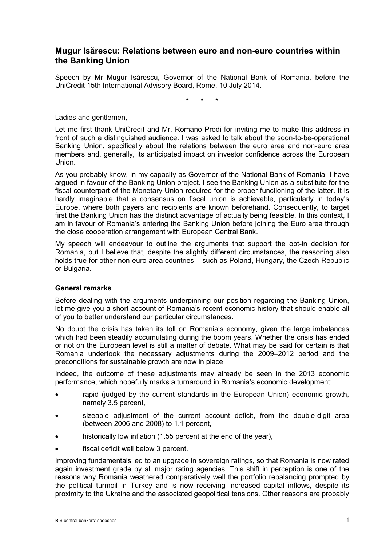# **Mugur Isărescu: Relations between euro and non-euro countries within the Banking Union**

Speech by Mr Mugur Isărescu, Governor of the National Bank of Romania, before the UniCredit 15th International Advisory Board, Rome, 10 July 2014.

\* \* \*

Ladies and gentlemen,

Let me first thank UniCredit and Mr. Romano Prodi for inviting me to make this address in front of such a distinguished audience. I was asked to talk about the soon-to-be-operational Banking Union, specifically about the relations between the euro area and non-euro area members and, generally, its anticipated impact on investor confidence across the European Union.

As you probably know, in my capacity as Governor of the National Bank of Romania, I have argued in favour of the Banking Union project. I see the Banking Union as a substitute for the fiscal counterpart of the Monetary Union required for the proper functioning of the latter. It is hardly imaginable that a consensus on fiscal union is achievable, particularly in today's Europe, where both payers and recipients are known beforehand. Consequently, to target first the Banking Union has the distinct advantage of actually being feasible. In this context, I am in favour of Romania's entering the Banking Union before joining the Euro area through the close cooperation arrangement with European Central Bank.

My speech will endeavour to outline the arguments that support the opt-in decision for Romania, but I believe that, despite the slightly different circumstances, the reasoning also holds true for other non-euro area countries – such as Poland, Hungary, the Czech Republic or Bulgaria.

## **General remarks**

Before dealing with the arguments underpinning our position regarding the Banking Union, let me give you a short account of Romania's recent economic history that should enable all of you to better understand our particular circumstances.

No doubt the crisis has taken its toll on Romania's economy, given the large imbalances which had been steadily accumulating during the boom years. Whether the crisis has ended or not on the European level is still a matter of debate. What may be said for certain is that Romania undertook the necessary adjustments during the 2009–2012 period and the preconditions for sustainable growth are now in place.

Indeed, the outcome of these adjustments may already be seen in the 2013 economic performance, which hopefully marks a turnaround in Romania's economic development:

- rapid (judged by the current standards in the European Union) economic growth, namely 3.5 percent,
- sizeable adjustment of the current account deficit, from the double-digit area (between 2006 and 2008) to 1.1 percent,
- historically low inflation (1.55 percent at the end of the year),
- fiscal deficit well below 3 percent.

Improving fundamentals led to an upgrade in sovereign ratings, so that Romania is now rated again investment grade by all major rating agencies. This shift in perception is one of the reasons why Romania weathered comparatively well the portfolio rebalancing prompted by the political turmoil in Turkey and is now receiving increased capital inflows, despite its proximity to the Ukraine and the associated geopolitical tensions. Other reasons are probably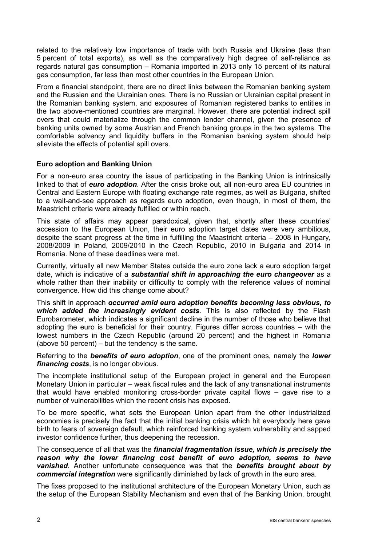related to the relatively low importance of trade with both Russia and Ukraine (less than 5 percent of total exports), as well as the comparatively high degree of self-reliance as regards natural gas consumption – Romania imported in 2013 only 15 percent of its natural gas consumption, far less than most other countries in the European Union.

From a financial standpoint, there are no direct links between the Romanian banking system and the Russian and the Ukrainian ones. There is no Russian or Ukrainian capital present in the Romanian banking system, and exposures of Romanian registered banks to entities in the two above-mentioned countries are marginal. However, there are potential indirect spill overs that could materialize through the common lender channel, given the presence of banking units owned by some Austrian and French banking groups in the two systems. The comfortable solvency and liquidity buffers in the Romanian banking system should help alleviate the effects of potential spill overs.

## **Euro adoption and Banking Union**

For a non-euro area country the issue of participating in the Banking Union is intrinsically linked to that of *euro adoption*. After the crisis broke out, all non-euro area EU countries in Central and Eastern Europe with floating exchange rate regimes, as well as Bulgaria, shifted to a wait-and-see approach as regards euro adoption, even though, in most of them, the Maastricht criteria were already fulfilled or within reach.

This state of affairs may appear paradoxical, given that, shortly after these countries' accession to the European Union, their euro adoption target dates were very ambitious, despite the scant progress at the time in fulfilling the Maastricht criteria – 2008 in Hungary, 2008/2009 in Poland, 2009/2010 in the Czech Republic, 2010 in Bulgaria and 2014 in Romania. None of these deadlines were met.

Currently, virtually all new Member States outside the euro zone lack a euro adoption target date, which is indicative of a *substantial shift in approaching the euro changeover* as a whole rather than their inability or difficulty to comply with the reference values of nominal convergence. How did this change come about?

This shift in approach *occurred amid euro adoption benefits becoming less obvious, to which added the increasingly evident costs*. This is also reflected by the Flash Eurobarometer, which indicates a significant decline in the number of those who believe that adopting the euro is beneficial for their country. Figures differ across countries – with the lowest numbers in the Czech Republic (around 20 percent) and the highest in Romania (above 50 percent) – but the tendency is the same.

Referring to the *benefits of euro adoption*, one of the prominent ones, namely the *lower financing costs*, is no longer obvious.

The incomplete institutional setup of the European project in general and the European Monetary Union in particular – weak fiscal rules and the lack of any transnational instruments that would have enabled monitoring cross-border private capital flows – gave rise to a number of vulnerabilities which the recent crisis has exposed.

To be more specific, what sets the European Union apart from the other industrialized economies is precisely the fact that the initial banking crisis which hit everybody here gave birth to fears of sovereign default, which reinforced banking system vulnerability and sapped investor confidence further, thus deepening the recession.

The consequence of all that was the *financial fragmentation issue, which is precisely the reason why the lower financing cost benefit of euro adoption, seems to have vanished*. Another unfortunate consequence was that the *benefits brought about by commercial integration* were significantly diminished by lack of growth in the euro area.

The fixes proposed to the institutional architecture of the European Monetary Union, such as the setup of the European Stability Mechanism and even that of the Banking Union, brought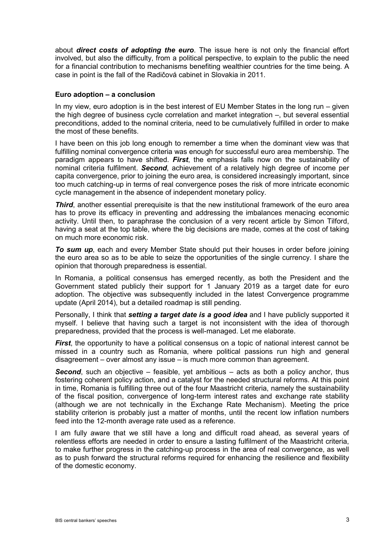about *direct costs of adopting the euro*. The issue here is not only the financial effort involved, but also the difficulty, from a political perspective, to explain to the public the need for a financial contribution to mechanisms benefiting wealthier countries for the time being. A case in point is the fall of the Radičová cabinet in Slovakia in 2011.

### **Euro adoption – a conclusion**

In my view, euro adoption is in the best interest of EU Member States in the long run – given the high degree of business cycle correlation and market integration –, but several essential preconditions, added to the nominal criteria, need to be cumulatively fulfilled in order to make the most of these benefits.

I have been on this job long enough to remember a time when the dominant view was that fulfilling nominal convergence criteria was enough for successful euro area membership. The paradigm appears to have shifted. *First*, the emphasis falls now on the sustainability of nominal criteria fulfilment. *Second*, achievement of a relatively high degree of income per capita convergence, prior to joining the euro area, is considered increasingly important, since too much catching-up in terms of real convergence poses the risk of more intricate economic cycle management in the absence of independent monetary policy.

**Third**, another essential prerequisite is that the new institutional framework of the euro area has to prove its efficacy in preventing and addressing the imbalances menacing economic activity. Until then, to paraphrase the conclusion of a very recent article by Simon Tilford, having a seat at the top table, where the big decisions are made, comes at the cost of taking on much more economic risk.

*To sum up*, each and every Member State should put their houses in order before joining the euro area so as to be able to seize the opportunities of the single currency. I share the opinion that thorough preparedness is essential.

In Romania, a political consensus has emerged recently, as both the President and the Government stated publicly their support for 1 January 2019 as a target date for euro adoption. The objective was subsequently included in the latest Convergence programme update (April 2014), but a detailed roadmap is still pending.

Personally, I think that *setting a target date is a good idea* and I have publicly supported it myself. I believe that having such a target is not inconsistent with the idea of thorough preparedness, provided that the process is well-managed. Let me elaborate.

*First*, the opportunity to have a political consensus on a topic of national interest cannot be missed in a country such as Romania, where political passions run high and general disagreement – over almost any issue – is much more common than agreement.

**Second**, such an objective – feasible, yet ambitious – acts as both a policy anchor, thus fostering coherent policy action, and a catalyst for the needed structural reforms. At this point in time, Romania is fulfilling three out of the four Maastricht criteria, namely the sustainability of the fiscal position, convergence of long-term interest rates and exchange rate stability (although we are not technically in the Exchange Rate Mechanism). Meeting the price stability criterion is probably just a matter of months, until the recent low inflation numbers feed into the 12-month average rate used as a reference.

I am fully aware that we still have a long and difficult road ahead, as several years of relentless efforts are needed in order to ensure a lasting fulfilment of the Maastricht criteria, to make further progress in the catching-up process in the area of real convergence, as well as to push forward the structural reforms required for enhancing the resilience and flexibility of the domestic economy.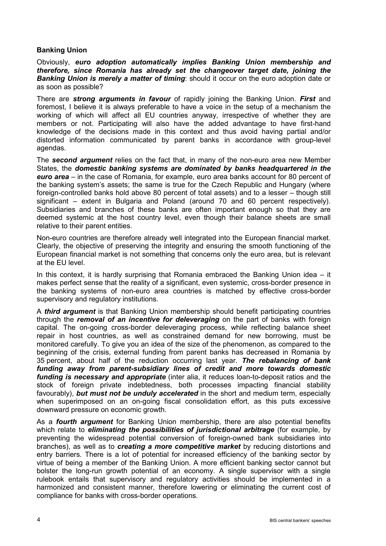## **Banking Union**

Obviously, *euro adoption automatically implies Banking Union membership and therefore, since Romania has already set the changeover target date, joining the*  **Banking Union is merely a matter of timing**: should it occur on the euro adoption date or as soon as possible?

There are *strong arguments in favour* of rapidly joining the Banking Union. *First* and foremost, I believe it is always preferable to have a voice in the setup of a mechanism the working of which will affect all EU countries anyway, irrespective of whether they are members or not. Participating will also have the added advantage to have first-hand knowledge of the decisions made in this context and thus avoid having partial and/or distorted information communicated by parent banks in accordance with group-level agendas.

The *second argument* relies on the fact that, in many of the non-euro area new Member States, the *domestic banking systems are dominated by banks headquartered in the euro area* – in the case of Romania, for example, euro area banks account for 80 percent of the banking system's assets; the same is true for the Czech Republic and Hungary (where foreign-controlled banks hold above 80 percent of total assets) and to a lesser – though still significant – extent in Bulgaria and Poland (around 70 and 60 percent respectively). Subsidiaries and branches of these banks are often important enough so that they are deemed systemic at the host country level, even though their balance sheets are small relative to their parent entities.

Non-euro countries are therefore already well integrated into the European financial market. Clearly, the objective of preserving the integrity and ensuring the smooth functioning of the European financial market is not something that concerns only the euro area, but is relevant at the EU level.

In this context, it is hardly surprising that Romania embraced the Banking Union idea – it makes perfect sense that the reality of a significant, even systemic, cross-border presence in the banking systems of non-euro area countries is matched by effective cross-border supervisory and regulatory institutions.

A *third argument* is that Banking Union membership should benefit participating countries through the *removal of an incentive for deleveraging* on the part of banks with foreign capital. The on-going cross-border deleveraging process, while reflecting balance sheet repair in host countries, as well as constrained demand for new borrowing, must be monitored carefully. To give you an idea of the size of the phenomenon, as compared to the beginning of the crisis, external funding from parent banks has decreased in Romania by 35 percent, about half of the reduction occurring last year. *The rebalancing of bank funding away from parent-subsidiary lines of credit and more towards domestic funding is necessary and appropriate* (inter alia, it reduces loan-to-deposit ratios and the stock of foreign private indebtedness, both processes impacting financial stability favourably), *but must not be unduly accelerated* in the short and medium term, especially when superimposed on an on-going fiscal consolidation effort, as this puts excessive downward pressure on economic growth.

As a *fourth argument* for Banking Union membership, there are also potential benefits which relate to *eliminating the possibilities of jurisdictional arbitrage* (for example, by preventing the widespread potential conversion of foreign-owned bank subsidiaries into branches), as well as to *creating a more competitive market* by reducing distortions and entry barriers. There is a lot of potential for increased efficiency of the banking sector by virtue of being a member of the Banking Union. A more efficient banking sector cannot but bolster the long-run growth potential of an economy. A single supervisor with a single rulebook entails that supervisory and regulatory activities should be implemented in a harmonized and consistent manner, therefore lowering or eliminating the current cost of compliance for banks with cross-border operations.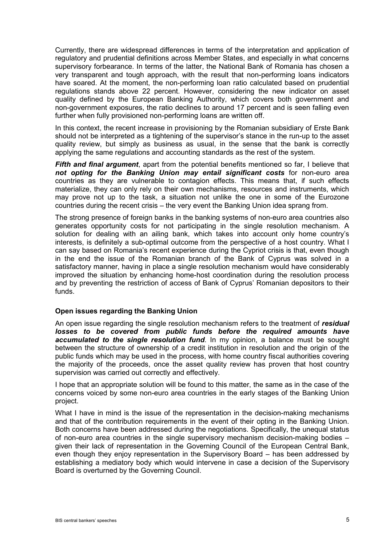Currently, there are widespread differences in terms of the interpretation and application of regulatory and prudential definitions across Member States, and especially in what concerns supervisory forbearance. In terms of the latter, the National Bank of Romania has chosen a very transparent and tough approach, with the result that non-performing loans indicators have soared. At the moment, the non-performing loan ratio calculated based on prudential regulations stands above 22 percent. However, considering the new indicator on asset quality defined by the European Banking Authority, which covers both government and non-government exposures, the ratio declines to around 17 percent and is seen falling even further when fully provisioned non-performing loans are written off.

In this context, the recent increase in provisioning by the Romanian subsidiary of Erste Bank should not be interpreted as a tightening of the supervisor's stance in the run-up to the asset quality review, but simply as business as usual, in the sense that the bank is correctly applying the same regulations and accounting standards as the rest of the system.

**Fifth and final argument**, apart from the potential benefits mentioned so far, I believe that *not opting for the Banking Union may entail significant costs* for non-euro area countries as they are vulnerable to contagion effects. This means that, if such effects materialize, they can only rely on their own mechanisms, resources and instruments, which may prove not up to the task, a situation not unlike the one in some of the Eurozone countries during the recent crisis – the very event the Banking Union idea sprang from.

The strong presence of foreign banks in the banking systems of non-euro area countries also generates opportunity costs for not participating in the single resolution mechanism. A solution for dealing with an ailing bank, which takes into account only home country's interests, is definitely a sub-optimal outcome from the perspective of a host country. What I can say based on Romania's recent experience during the Cypriot crisis is that, even though in the end the issue of the Romanian branch of the Bank of Cyprus was solved in a satisfactory manner, having in place a single resolution mechanism would have considerably improved the situation by enhancing home-host coordination during the resolution process and by preventing the restriction of access of Bank of Cyprus' Romanian depositors to their funds.

#### **Open issues regarding the Banking Union**

An open issue regarding the single resolution mechanism refers to the treatment of *residual*  losses to be covered from public funds before the required amounts have *accumulated to the single resolution fund*. In my opinion, a balance must be sought between the structure of ownership of a credit institution in resolution and the origin of the public funds which may be used in the process, with home country fiscal authorities covering the majority of the proceeds, once the asset quality review has proven that host country supervision was carried out correctly and effectively.

I hope that an appropriate solution will be found to this matter, the same as in the case of the concerns voiced by some non-euro area countries in the early stages of the Banking Union project.

What I have in mind is the issue of the representation in the decision-making mechanisms and that of the contribution requirements in the event of their opting in the Banking Union. Both concerns have been addressed during the negotiations. Specifically, the unequal status of non-euro area countries in the single supervisory mechanism decision-making bodies – given their lack of representation in the Governing Council of the European Central Bank, even though they enjoy representation in the Supervisory Board – has been addressed by establishing a mediatory body which would intervene in case a decision of the Supervisory Board is overturned by the Governing Council.